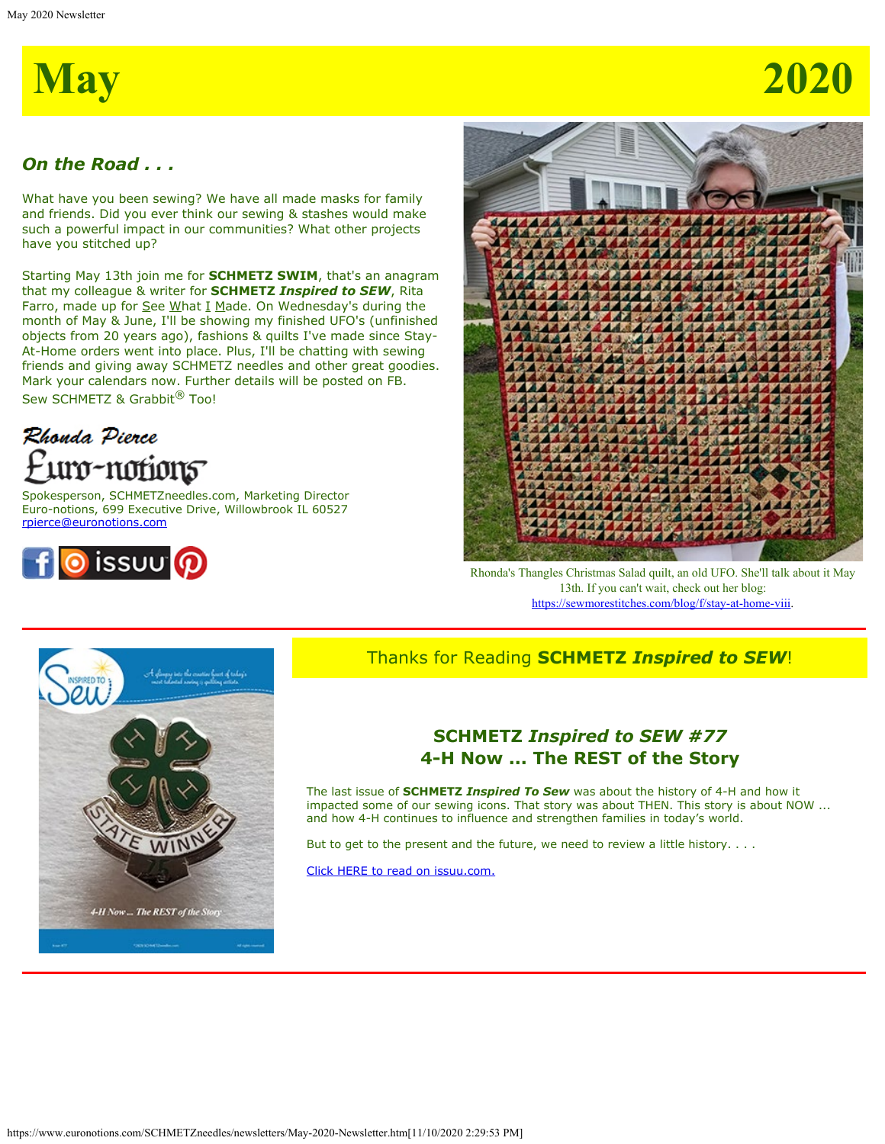

# *On the Road . . .*

What have you been sewing? We have all made masks for family and friends. Did you ever think our sewing & stashes would make such a powerful impact in our communities? What other projects have you stitched up?

Starting May 13th join me for **SCHMETZ SWIM**, that's an anagram that my colleague & writer for **SCHMETZ** *Inspired to SEW*, Rita Farro, made up for  $See What I Made. On Wednesday's during the$ </u> month of May & June, I'll be showing my finished UFO's (unfinished objects from 20 years ago), fashions & quilts I've made since Stay-At-Home orders went into place. Plus, I'll be chatting with sewing friends and giving away SCHMETZ needles and other great goodies. Mark your calendars now. Further details will be posted on FB. Sew SCHMETZ & Grabbit<sup>®</sup> Too!



Spokesperson, SCHMETZneedles.com, Marketing Director Euro-notions, 699 Executive Drive, Willowbrook IL 60527 [rpierce@euronotions.com](mailto:rpierce@euronotions.com)





Rhonda's Thangles Christmas Salad quilt, an old UFO. She'll talk about it May 13th. If you can't wait, check out her blog: <https://sewmorestitches.com/blog/f/stay-at-home-viii>.



# Thanks for Reading **SCHMETZ** *Inspired to SEW*!

## **SCHMETZ** *Inspired to SEW #77* **4-H Now ... The REST of the Story**

The last issue of **SCHMETZ** *Inspired To Sew* was about the history of 4-H and how it impacted some of our sewing icons. That story was about THEN. This story is about NOW ... and how 4-H continues to influence and strengthen families in today's world.

But to get to the present and the future, we need to review a little history. . . .

[Click HERE to read on issuu.com.](https://issuu.com/schmetzneedles/docs/its77-may20?fr=sYTM1ZDE3NTM3)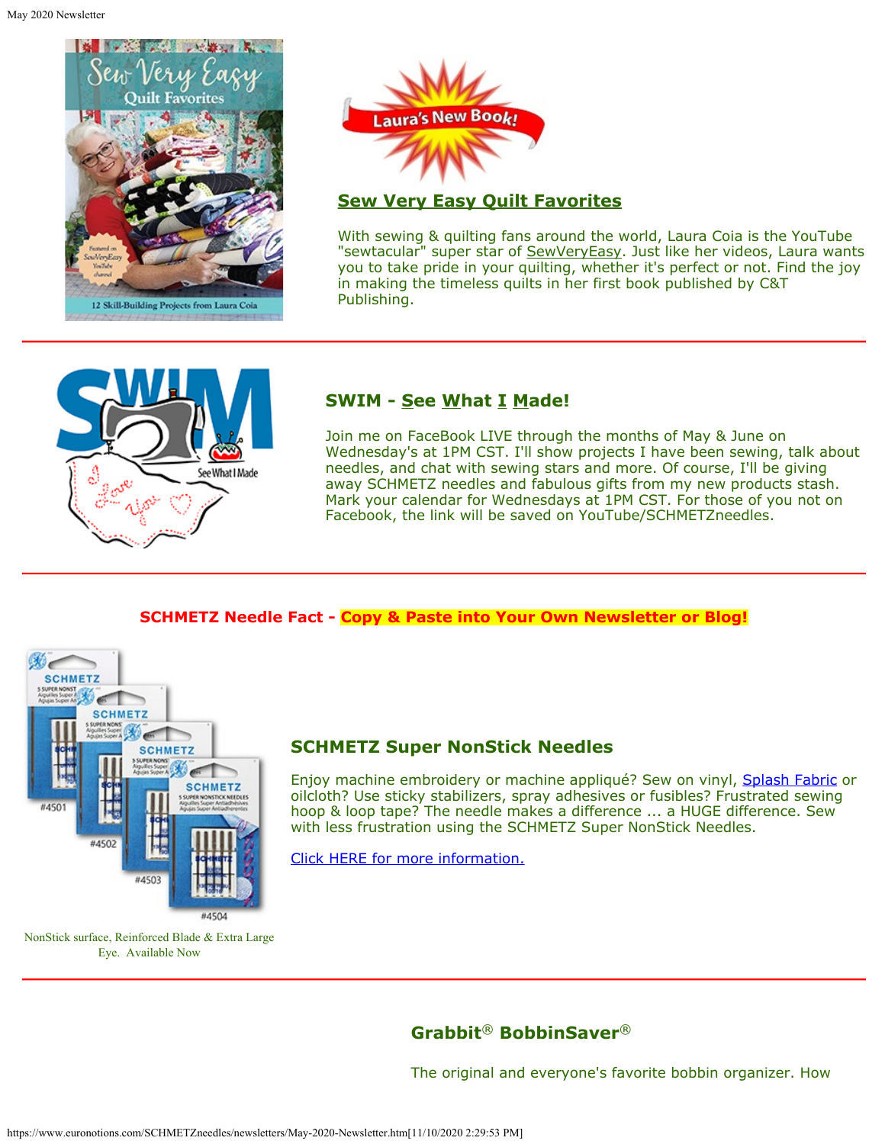

Laura's New Book!

### **Sew Very Easy Quilt Favorites**

With sewing & quilting fans around the world, Laura Coia is the YouTube "sewtacular" super star of [SewVeryEasy](https://www.youtube.com/user/SewVeryEasy). Just like her videos, Laura wants you to take pride in your quilting, whether it's perfect or not. Find the joy in making the timeless quilts in her first book published by C&T Publishing.



## **SWIM - See What I Made!**

Join me on FaceBook LIVE through the months of May & June on Wednesday's at 1PM CST. I'll show projects I have been sewing, talk about needles, and chat with sewing stars and more. Of course, I'll be giving away SCHMETZ needles and fabulous gifts from my new products stash. Mark your calendar for Wednesdays at 1PM CST. For those of you not on Facebook, the link will be saved on YouTube/SCHMETZneedles.

#### **SCHMETZ Needle Fact - Copy & Paste into Your Own Newsletter or Blog!**



## **SCHMETZ Super NonStick Needles**

Enjoy machine embroidery or machine appliqué? Sew on vinyl, [Splash Fabric](https://splashfabric.com/) or oilcloth? Use sticky stabilizers, spray adhesives or fusibles? Frustrated sewing hoop & loop tape? The needle makes a difference ... a HUGE difference. Sew with less frustration using the SCHMETZ Super NonStick Needles.

[Click HERE for more information.](https://www.schmetzneedles.com/category/SCHMETZ-SUPER-NonStick-Needles-69)

NonStick surface, Reinforced Blade & Extra Large Eye. Available Now

# **Grabbit**® **BobbinSaver**®

The original and everyone's favorite bobbin organizer. How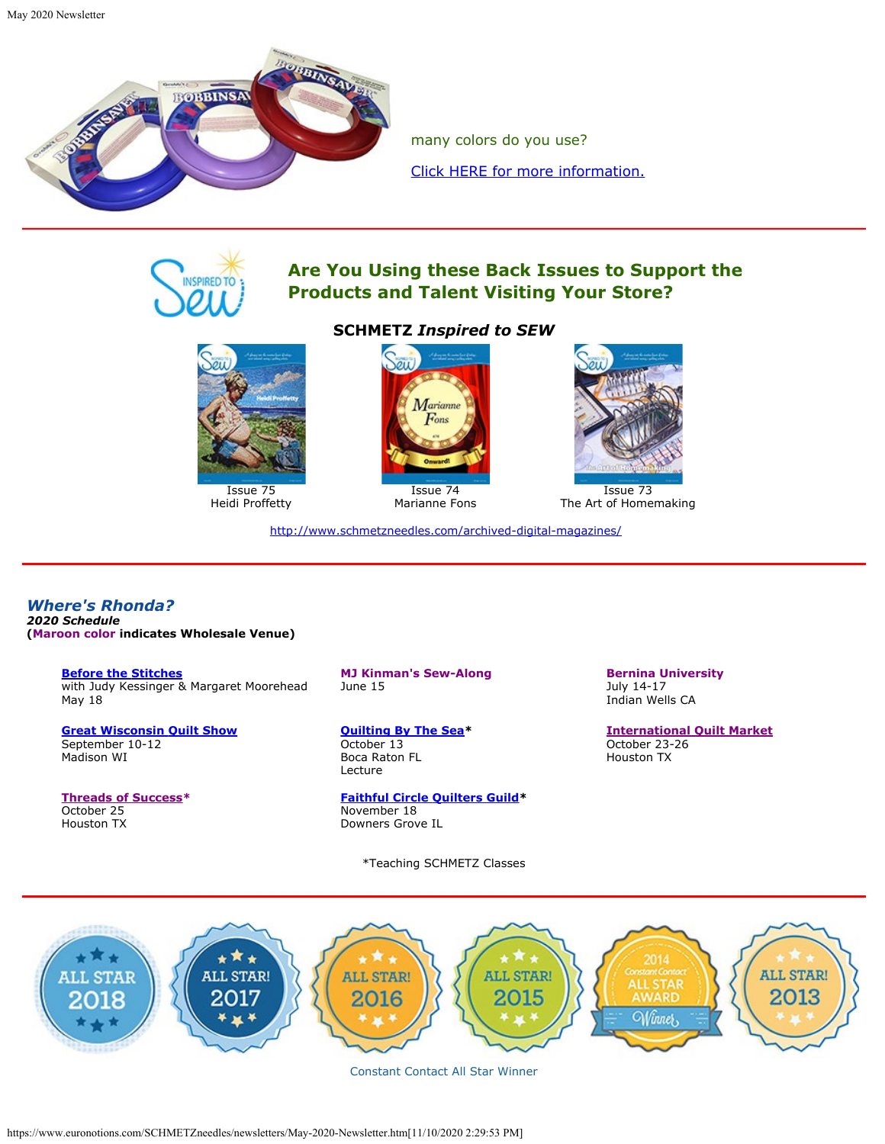

many colors do you use? [Click HERE for more information.](https://www.schmetzneedles.com/item/Bobbinsaverreg-100120)



## **Are You Using these Back Issues to Support the Products and Talent Visiting Your Store?**



Issue 75 Heidi Proffetty

#### **SCHMETZ** *Inspired to SEW*



Issue 74 Marianne Fons



Issue 73 The Art of Homemaking

<http://www.schmetzneedles.com/archived-digital-magazines/>

*Where's Rhonda? 2020 Schedule* **(Maroon color indicates Wholesale Venue)**

> **[Before the Stitches](https://beforethestitches.com/)** with Judy Kessinger & Margaret Moorehead May 18

**[Great Wisconsin Quilt Show](https://quiltshow.com/)** September 10-12 Madison WI

**[Threads of Success\\*](https://www.threads-of-success.com/)** October 25 Houston TX

**MJ Kinman's Sew-Along** June 15

**[Quilting By The Sea](http://www.quiltguildbythesea.com/)\*** October 13 Boca Raton FL Lecture

**[Faithful Circle Quilters Guild](http://www.fcquilters.com/)\*** November 18 Downers Grove IL

\*Teaching SCHMETZ Classes

**Bernina University** July 14-17 Indian Wells CA

**[International Quilt Market](https://www.quilts.com/quilt-market-houston.html)** October 23-26 Houston TX



Constant Contact All Star Winner